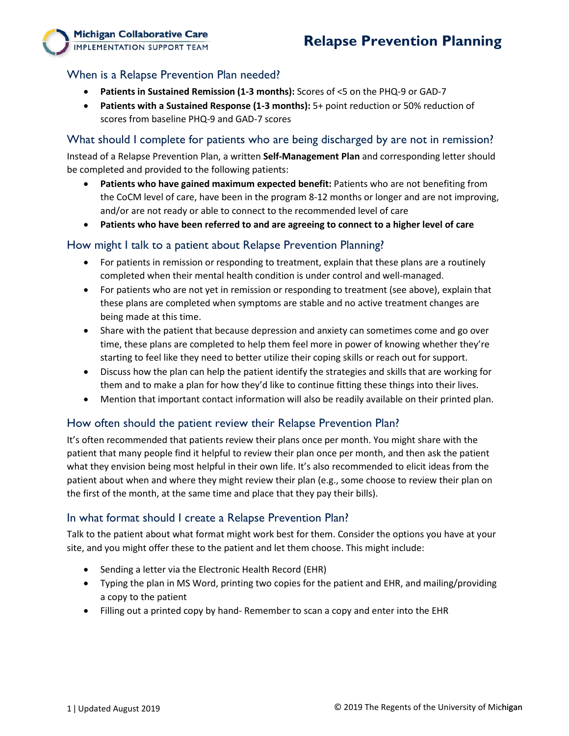# When is a Relapse Prevention Plan needed?

**Michigan Collaborative Care IMPLEMENTATION SUPPORT TEAM** 

- **Patients in Sustained Remission (1-3 months):** Scores of <5 on the PHQ-9 or GAD-7
- **Patients with a Sustained Response (1-3 months):** 5+ point reduction or 50% reduction of scores from baseline PHQ-9 and GAD-7 scores

What should I complete for patients who are being discharged by are not in remission?

Instead of a Relapse Prevention Plan, a written **Self-Management Plan** and corresponding letter should be completed and provided to the following patients:

- **Patients who have gained maximum expected benefit:** Patients who are not benefiting from the CoCM level of care, have been in the program 8-12 months or longer and are not improving, and/or are not ready or able to connect to the recommended level of care
- **Patients who have been referred to and are agreeing to connect to a higher level of care**

### How might I talk to a patient about Relapse Prevention Planning?

- For patients in remission or responding to treatment, explain that these plans are a routinely completed when their mental health condition is under control and well-managed.
- For patients who are not yet in remission or responding to treatment (see above), explain that these plans are completed when symptoms are stable and no active treatment changes are being made at this time.
- Share with the patient that because depression and anxiety can sometimes come and go over time, these plans are completed to help them feel more in power of knowing whether they're starting to feel like they need to better utilize their coping skills or reach out for support.
- Discuss how the plan can help the patient identify the strategies and skills that are working for them and to make a plan for how they'd like to continue fitting these things into their lives.
- Mention that important contact information will also be readily available on their printed plan.

## How often should the patient review their Relapse Prevention Plan?

It's often recommended that patients review their plans once per month. You might share with the patient that many people find it helpful to review their plan once per month, and then ask the patient what they envision being most helpful in their own life. It's also recommended to elicit ideas from the patient about when and where they might review their plan (e.g., some choose to review their plan on the first of the month, at the same time and place that they pay their bills).

### In what format should I create a Relapse Prevention Plan?

Talk to the patient about what format might work best for them. Consider the options you have at your site, and you might offer these to the patient and let them choose. This might include:

- Sending a letter via the Electronic Health Record (EHR)
- Typing the plan in MS Word, printing two copies for the patient and EHR, and mailing/providing a copy to the patient
- Filling out a printed copy by hand- Remember to scan a copy and enter into the EHR